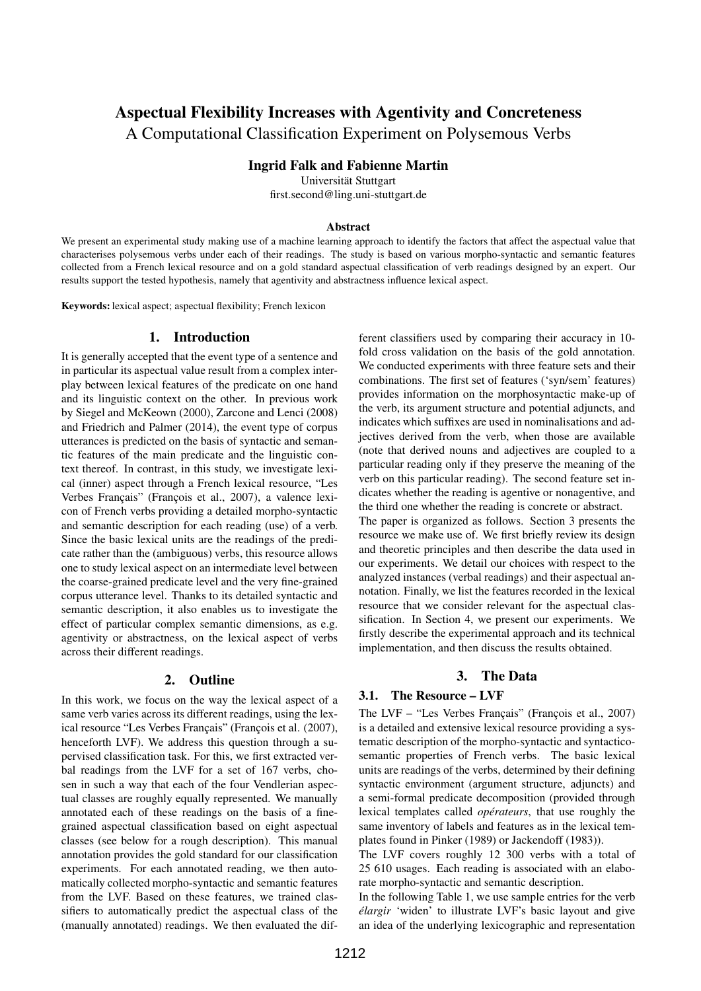# Aspectual Flexibility Increases with Agentivity and Concreteness A Computational Classification Experiment on Polysemous Verbs

Ingrid Falk and Fabienne Martin

Universität Stuttgart

first.second@ling.uni-stuttgart.de

#### Abstract

We present an experimental study making use of a machine learning approach to identify the factors that affect the aspectual value that characterises polysemous verbs under each of their readings. The study is based on various morpho-syntactic and semantic features collected from a French lexical resource and on a gold standard aspectual classification of verb readings designed by an expert. Our results support the tested hypothesis, namely that agentivity and abstractness influence lexical aspect.

Keywords: lexical aspect; aspectual flexibility; French lexicon

#### 1. Introduction

It is generally accepted that the event type of a sentence and in particular its aspectual value result from a complex interplay between lexical features of the predicate on one hand and its linguistic context on the other. In previous work by Siegel and McKeown (2000), Zarcone and Lenci (2008) and Friedrich and Palmer (2014), the event type of corpus utterances is predicted on the basis of syntactic and semantic features of the main predicate and the linguistic context thereof. In contrast, in this study, we investigate lexical (inner) aspect through a French lexical resource, "Les Verbes Français" (François et al., 2007), a valence lexicon of French verbs providing a detailed morpho-syntactic and semantic description for each reading (use) of a verb. Since the basic lexical units are the readings of the predicate rather than the (ambiguous) verbs, this resource allows one to study lexical aspect on an intermediate level between the coarse-grained predicate level and the very fine-grained corpus utterance level. Thanks to its detailed syntactic and semantic description, it also enables us to investigate the effect of particular complex semantic dimensions, as e.g. agentivity or abstractness, on the lexical aspect of verbs across their different readings.

### 2. Outline

In this work, we focus on the way the lexical aspect of a same verb varies across its different readings, using the lexical resource "Les Verbes Français" (François et al. (2007), henceforth LVF). We address this question through a supervised classification task. For this, we first extracted verbal readings from the LVF for a set of 167 verbs, chosen in such a way that each of the four Vendlerian aspectual classes are roughly equally represented. We manually annotated each of these readings on the basis of a finegrained aspectual classification based on eight aspectual classes (see below for a rough description). This manual annotation provides the gold standard for our classification experiments. For each annotated reading, we then automatically collected morpho-syntactic and semantic features from the LVF. Based on these features, we trained classifiers to automatically predict the aspectual class of the (manually annotated) readings. We then evaluated the different classifiers used by comparing their accuracy in 10 fold cross validation on the basis of the gold annotation. We conducted experiments with three feature sets and their combinations. The first set of features ('syn/sem' features) provides information on the morphosyntactic make-up of the verb, its argument structure and potential adjuncts, and indicates which suffixes are used in nominalisations and adjectives derived from the verb, when those are available (note that derived nouns and adjectives are coupled to a particular reading only if they preserve the meaning of the verb on this particular reading). The second feature set indicates whether the reading is agentive or nonagentive, and the third one whether the reading is concrete or abstract. The paper is organized as follows. Section 3 presents the resource we make use of. We first briefly review its design and theoretic principles and then describe the data used in our experiments. We detail our choices with respect to the analyzed instances (verbal readings) and their aspectual annotation. Finally, we list the features recorded in the lexical resource that we consider relevant for the aspectual classification. In Section 4, we present our experiments. We firstly describe the experimental approach and its technical implementation, and then discuss the results obtained.

#### 3. The Data

#### 3.1. The Resource – LVF

The LVF – "Les Verbes Français" (François et al., 2007) is a detailed and extensive lexical resource providing a systematic description of the morpho-syntactic and syntacticosemantic properties of French verbs. The basic lexical units are readings of the verbs, determined by their defining syntactic environment (argument structure, adjuncts) and a semi-formal predicate decomposition (provided through lexical templates called *opérateurs*, that use roughly the same inventory of labels and features as in the lexical templates found in Pinker (1989) or Jackendoff (1983)).

The LVF covers roughly 12 300 verbs with a total of 25 610 usages. Each reading is associated with an elaborate morpho-syntactic and semantic description.

In the following Table 1, we use sample entries for the verb *élargir* 'widen' to illustrate LVF's basic layout and give an idea of the underlying lexicographic and representation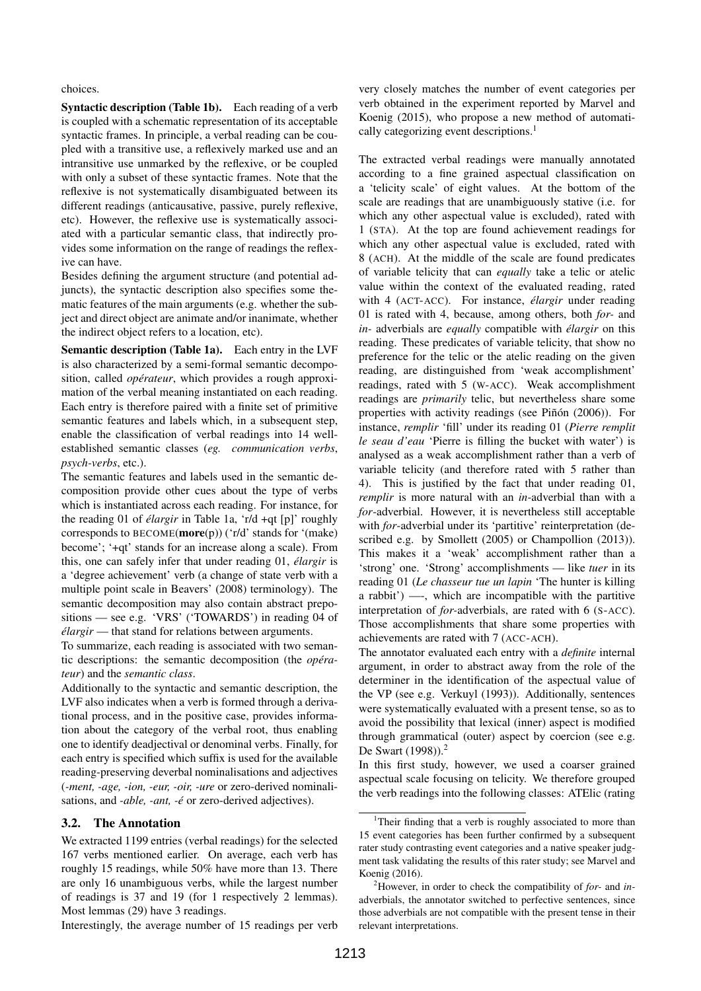choices.

Syntactic description (Table 1b). Each reading of a verb is coupled with a schematic representation of its acceptable syntactic frames. In principle, a verbal reading can be coupled with a transitive use, a reflexively marked use and an intransitive use unmarked by the reflexive, or be coupled with only a subset of these syntactic frames. Note that the reflexive is not systematically disambiguated between its different readings (anticausative, passive, purely reflexive, etc). However, the reflexive use is systematically associated with a particular semantic class, that indirectly provides some information on the range of readings the reflexive can have.

Besides defining the argument structure (and potential adjuncts), the syntactic description also specifies some thematic features of the main arguments (e.g. whether the subject and direct object are animate and/or inanimate, whether the indirect object refers to a location, etc).

Semantic description (Table 1a). Each entry in the LVF is also characterized by a semi-formal semantic decomposition, called *opérateur*, which provides a rough approximation of the verbal meaning instantiated on each reading. Each entry is therefore paired with a finite set of primitive semantic features and labels which, in a subsequent step, enable the classification of verbal readings into 14 wellestablished semantic classes (*eg. communication verbs*, *psych-verbs*, etc.).

The semantic features and labels used in the semantic decomposition provide other cues about the type of verbs which is instantiated across each reading. For instance, for the reading 01 of *élargir* in Table 1a, 'r/d +qt [p]' roughly corresponds to BECOME(more(p)) ('r/d' stands for '(make) become'; '+qt' stands for an increase along a scale). From this, one can safely infer that under reading 01, *élargir* is a 'degree achievement' verb (a change of state verb with a multiple point scale in Beavers' (2008) terminology). The semantic decomposition may also contain abstract prepositions — see e.g. 'VRS' ('TOWARDS') in reading 04 of *élargir* — that stand for relations between arguments.

To summarize, each reading is associated with two semantic descriptions: the semantic decomposition (the *opérateur*) and the *semantic class*.

Additionally to the syntactic and semantic description, the LVF also indicates when a verb is formed through a derivational process, and in the positive case, provides information about the category of the verbal root, thus enabling one to identify deadjectival or denominal verbs. Finally, for each entry is specified which suffix is used for the available reading-preserving deverbal nominalisations and adjectives (*-ment, -age, -ion, -eur, -oir, -ure* or zero-derived nominalisations, and *-able, -ant, -é* or zero-derived adjectives).

# 3.2. The Annotation

We extracted 1199 entries (verbal readings) for the selected 167 verbs mentioned earlier. On average, each verb has roughly 15 readings, while 50% have more than 13. There are only 16 unambiguous verbs, while the largest number of readings is 37 and 19 (for 1 respectively 2 lemmas). Most lemmas (29) have 3 readings.

Interestingly, the average number of 15 readings per verb

very closely matches the number of event categories per verb obtained in the experiment reported by Marvel and Koenig (2015), who propose a new method of automatically categorizing event descriptions.<sup>1</sup>

The extracted verbal readings were manually annotated according to a fine grained aspectual classification on a 'telicity scale' of eight values. At the bottom of the scale are readings that are unambiguously stative (i.e. for which any other aspectual value is excluded), rated with 1 (STA). At the top are found achievement readings for which any other aspectual value is excluded, rated with 8 (ACH). At the middle of the scale are found predicates of variable telicity that can *equally* take a telic or atelic value within the context of the evaluated reading, rated with 4 (ACT-ACC). For instance, *élargir* under reading 01 is rated with 4, because, among others, both *for-* and *in-* adverbials are *equally* compatible with *élargir* on this reading. These predicates of variable telicity, that show no preference for the telic or the atelic reading on the given reading, are distinguished from 'weak accomplishment' readings, rated with 5 (W-ACC). Weak accomplishment readings are *primarily* telic, but nevertheless share some properties with activity readings (see Piñón (2006)). For instance, *remplir* 'fill' under its reading 01 (*Pierre remplit le seau d'eau* 'Pierre is filling the bucket with water') is analysed as a weak accomplishment rather than a verb of variable telicity (and therefore rated with 5 rather than 4). This is justified by the fact that under reading 01, *remplir* is more natural with an *in*-adverbial than with a *for*-adverbial. However, it is nevertheless still acceptable with *for*-adverbial under its 'partitive' reinterpretation (described e.g. by Smollett (2005) or Champollion (2013)). This makes it a 'weak' accomplishment rather than a 'strong' one. 'Strong' accomplishments — like *tuer* in its reading 01 (*Le chasseur tue un lapin* 'The hunter is killing a rabbit') —-, which are incompatible with the partitive interpretation of *for-*adverbials, are rated with 6 (S-ACC). Those accomplishments that share some properties with achievements are rated with 7 (ACC-ACH).

The annotator evaluated each entry with a *definite* internal argument, in order to abstract away from the role of the determiner in the identification of the aspectual value of the VP (see e.g. Verkuyl (1993)). Additionally, sentences were systematically evaluated with a present tense, so as to avoid the possibility that lexical (inner) aspect is modified through grammatical (outer) aspect by coercion (see e.g. De Swart (1998)).<sup>2</sup>

In this first study, however, we used a coarser grained aspectual scale focusing on telicity. We therefore grouped the verb readings into the following classes: ATElic (rating

<sup>&</sup>lt;sup>1</sup>Their finding that a verb is roughly associated to more than 15 event categories has been further confirmed by a subsequent rater study contrasting event categories and a native speaker judgment task validating the results of this rater study; see Marvel and Koenig (2016).

<sup>2</sup>However, in order to check the compatibility of *for-* and *in*adverbials, the annotator switched to perfective sentences, since those adverbials are not compatible with the present tense in their relevant interpretations.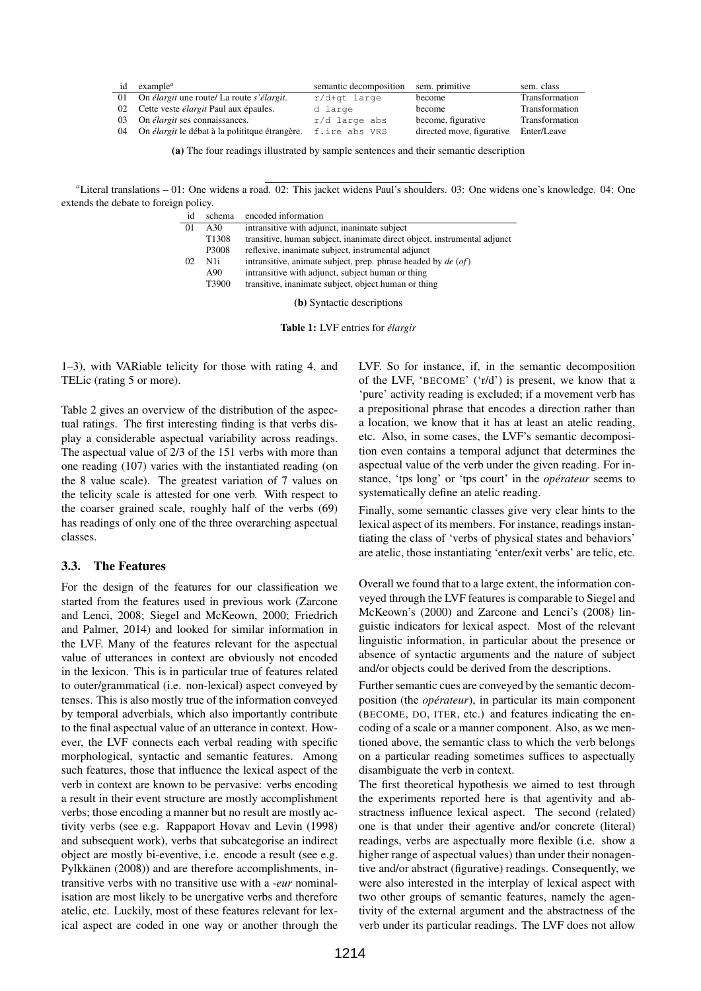| id | example <sup>a</sup>                                               | semantic decomposition sem. primitive |                           | sem. class     |
|----|--------------------------------------------------------------------|---------------------------------------|---------------------------|----------------|
|    | 01 On élargit une route/ La route s'élargit.                       | r/d+qt large                          | become                    | Transformation |
|    | 02 Cette veste <i>élargit</i> Paul aux épaules.                    | d large                               | become                    | Transformation |
|    | 03 On <i>élargit</i> ses connaissances.                            | r/d large abs                         | become, figurative        | Transformation |
| 04 | On <i>élargit</i> le débat à la politique étrangère. f.ire abs VRS |                                       | directed move, figurative | Enter/Leave    |

(a) The four readings illustrated by sample sentences and their semantic description

*<sup>a</sup>*Literal translations – 01: One widens a road. 02: This jacket widens Paul's shoulders. 03: One widens one's knowledge. 04: One extends the debate to foreign policy.

| id | schema            | encoded information                                                      |
|----|-------------------|--------------------------------------------------------------------------|
| 01 | A30               | intransitive with adjunct, inanimate subject                             |
|    | T <sub>1308</sub> | transitive, human subject, inanimate direct object, instrumental adjunct |
|    | P3008             | reflexive, inanimate subject, instrumental adjunct                       |
| 02 | N1i.              | intransitive, animate subject, prep. phrase headed by $de (of)$          |
|    | A90               | intransitive with adjunct, subject human or thing                        |
|    | T3900             | transitive, inanimate subject, object human or thing                     |
|    |                   |                                                                          |

(b) Syntactic descriptions

Table 1: LVF entries for *élargir*

1–3), with VARiable telicity for those with rating 4, and TELic (rating 5 or more).

Table 2 gives an overview of the distribution of the aspectual ratings. The first interesting finding is that verbs display a considerable aspectual variability across readings. The aspectual value of 2/3 of the 151 verbs with more than one reading (107) varies with the instantiated reading (on the 8 value scale). The greatest variation of 7 values on the telicity scale is attested for one verb. With respect to the coarser grained scale, roughly half of the verbs (69) has readings of only one of the three overarching aspectual classes.

## 3.3. The Features

For the design of the features for our classification we started from the features used in previous work (Zarcone and Lenci, 2008; Siegel and McKeown, 2000; Friedrich and Palmer, 2014) and looked for similar information in the LVF. Many of the features relevant for the aspectual value of utterances in context are obviously not encoded in the lexicon. This is in particular true of features related to outer/grammatical (i.e. non-lexical) aspect conveyed by tenses. This is also mostly true of the information conveyed by temporal adverbials, which also importantly contribute to the final aspectual value of an utterance in context. However, the LVF connects each verbal reading with specific morphological, syntactic and semantic features. Among such features, those that influence the lexical aspect of the verb in context are known to be pervasive: verbs encoding a result in their event structure are mostly accomplishment verbs; those encoding a manner but no result are mostly activity verbs (see e.g. Rappaport Hovav and Levin (1998) and subsequent work), verbs that subcategorise an indirect object are mostly bi-eventive, i.e. encode a result (see e.g. Pylkkänen (2008)) and are therefore accomplishments, intransitive verbs with no transitive use with a *-eur* nominalisation are most likely to be unergative verbs and therefore atelic, etc. Luckily, most of these features relevant for lexical aspect are coded in one way or another through the

LVF. So for instance, if, in the semantic decomposition of the LVF, 'BECOME' ('r/d') is present, we know that a 'pure' activity reading is excluded; if a movement verb has a prepositional phrase that encodes a direction rather than a location, we know that it has at least an atelic reading, etc. Also, in some cases, the LVF's semantic decomposition even contains a temporal adjunct that determines the aspectual value of the verb under the given reading. For instance, 'tps long' or 'tps court' in the *opérateur* seems to systematically define an atelic reading.

Finally, some semantic classes give very clear hints to the lexical aspect of its members. For instance, readings instantiating the class of 'verbs of physical states and behaviors' are atelic, those instantiating 'enter/exit verbs' are telic, etc.

Overall we found that to a large extent, the information conveyed through the LVF features is comparable to Siegel and McKeown's (2000) and Zarcone and Lenci's (2008) linguistic indicators for lexical aspect. Most of the relevant linguistic information, in particular about the presence or absence of syntactic arguments and the nature of subject and/or objects could be derived from the descriptions.

Further semantic cues are conveyed by the semantic decomposition (the *opérateur*), in particular its main component (BECOME, DO, ITER, etc.) and features indicating the encoding of a scale or a manner component. Also, as we mentioned above, the semantic class to which the verb belongs on a particular reading sometimes suffices to aspectually disambiguate the verb in context.

The first theoretical hypothesis we aimed to test through the experiments reported here is that agentivity and abstractness influence lexical aspect. The second (related) one is that under their agentive and/or concrete (literal) readings, verbs are aspectually more flexible (i.e. show a higher range of aspectual values) than under their nonagentive and/or abstract (figurative) readings. Consequently, we were also interested in the interplay of lexical aspect with two other groups of semantic features, namely the agentivity of the external argument and the abstractness of the verb under its particular readings. The LVF does not allow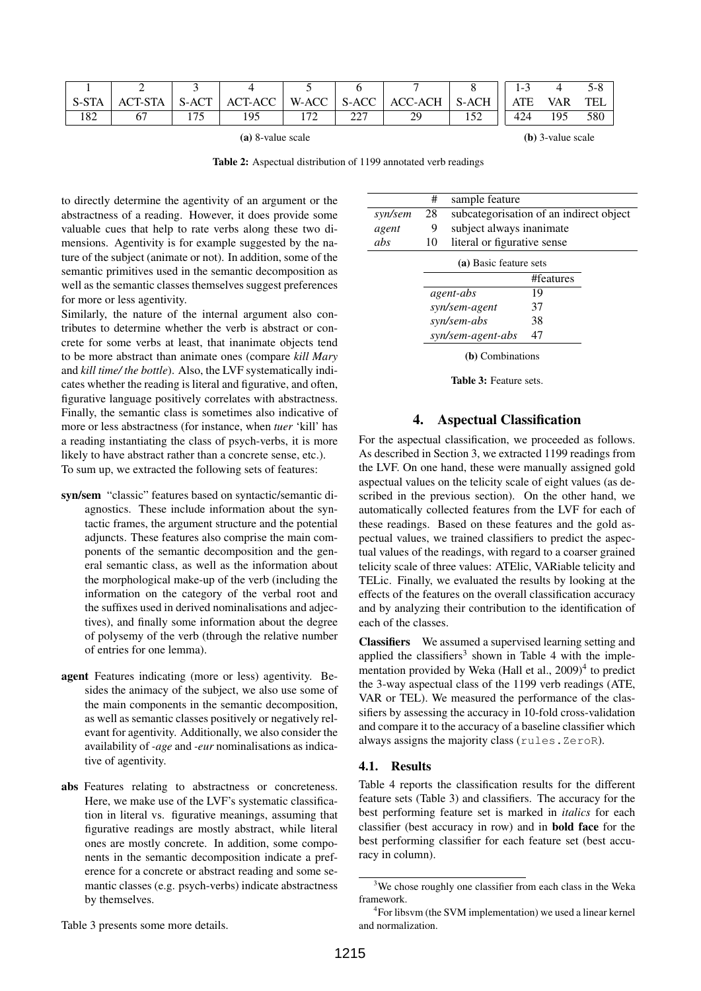|                   |                |            |         |                          |                   |           |            | $\overline{\phantom{0}}$ |     |     |
|-------------------|----------------|------------|---------|--------------------------|-------------------|-----------|------------|--------------------------|-----|-----|
| S-STA             | <b>ACT-STA</b> | S-ACT      | ACT-ACC | W-ACC                    | S-ACC             | ACC-ACH   | S-ACH      | <b>ATE</b>               | VAR | TEL |
| 1.0 $\cap$<br>102 |                | $-$<br>ر ر |         | $\overline{\phantom{a}}$ | $\sim$<br>، سەمئە | 7Ο<br>ر ب | $\epsilon$ | 424                      | 195 | 580 |

(a) 8-value scale

(b) 3-value scale

Table 2: Aspectual distribution of 1199 annotated verb readings

to directly determine the agentivity of an argument or the abstractness of a reading. However, it does provide some valuable cues that help to rate verbs along these two dimensions. Agentivity is for example suggested by the nature of the subject (animate or not). In addition, some of the semantic primitives used in the semantic decomposition as well as the semantic classes themselves suggest preferences for more or less agentivity.

Similarly, the nature of the internal argument also contributes to determine whether the verb is abstract or concrete for some verbs at least, that inanimate objects tend to be more abstract than animate ones (compare *kill Mary* and *kill time/ the bottle*). Also, the LVF systematically indicates whether the reading is literal and figurative, and often, figurative language positively correlates with abstractness. Finally, the semantic class is sometimes also indicative of more or less abstractness (for instance, when *tuer* 'kill' has a reading instantiating the class of psych-verbs, it is more likely to have abstract rather than a concrete sense, etc.). To sum up, we extracted the following sets of features:

- syn/sem "classic" features based on syntactic/semantic diagnostics. These include information about the syntactic frames, the argument structure and the potential adjuncts. These features also comprise the main components of the semantic decomposition and the general semantic class, as well as the information about the morphological make-up of the verb (including the information on the category of the verbal root and the suffixes used in derived nominalisations and adjectives), and finally some information about the degree of polysemy of the verb (through the relative number of entries for one lemma).
- agent Features indicating (more or less) agentivity. Besides the animacy of the subject, we also use some of the main components in the semantic decomposition, as well as semantic classes positively or negatively relevant for agentivity. Additionally, we also consider the availability of *-age* and *-eur* nominalisations as indicative of agentivity.
- abs Features relating to abstractness or concreteness. Here, we make use of the LVF's systematic classification in literal vs. figurative meanings, assuming that figurative readings are mostly abstract, while literal ones are mostly concrete. In addition, some components in the semantic decomposition indicate a preference for a concrete or abstract reading and some semantic classes (e.g. psych-verbs) indicate abstractness by themselves.

|         | #  | sample feature              |                                         |  |  |  |
|---------|----|-----------------------------|-----------------------------------------|--|--|--|
| syn/sem | 28 |                             | subcategorisation of an indirect object |  |  |  |
| agent   | 9  | subject always inanimate    |                                         |  |  |  |
| abs     | 10 | literal or figurative sense |                                         |  |  |  |
|         |    | (a) Basic feature sets      |                                         |  |  |  |
|         |    |                             | #features                               |  |  |  |
|         |    | agent-abs                   | 19                                      |  |  |  |
|         |    | syn/sem-agent               | 37                                      |  |  |  |
|         |    | syn/sem-abs                 | 38                                      |  |  |  |
|         |    | syn/sem-agent-abs           | 47                                      |  |  |  |
|         |    |                             |                                         |  |  |  |

(b) Combinations

Table 3: Feature sets.

# 4. Aspectual Classification

For the aspectual classification, we proceeded as follows. As described in Section 3, we extracted 1199 readings from the LVF. On one hand, these were manually assigned gold aspectual values on the telicity scale of eight values (as described in the previous section). On the other hand, we automatically collected features from the LVF for each of these readings. Based on these features and the gold aspectual values, we trained classifiers to predict the aspectual values of the readings, with regard to a coarser grained telicity scale of three values: ATElic, VARiable telicity and TELic. Finally, we evaluated the results by looking at the effects of the features on the overall classification accuracy and by analyzing their contribution to the identification of each of the classes.

Classifiers We assumed a supervised learning setting and applied the classifiers<sup>3</sup> shown in Table 4 with the implementation provided by Weka (Hall et al., 2009)<sup>4</sup> to predict the 3-way aspectual class of the 1199 verb readings (ATE, VAR or TEL). We measured the performance of the classifiers by assessing the accuracy in 10-fold cross-validation and compare it to the accuracy of a baseline classifier which always assigns the majority class (rules.ZeroR).

#### 4.1. Results

Table 4 reports the classification results for the different feature sets (Table 3) and classifiers. The accuracy for the best performing feature set is marked in *italics* for each classifier (best accuracy in row) and in bold face for the best performing classifier for each feature set (best accuracy in column).

Table 3 presents some more details.

<sup>&</sup>lt;sup>3</sup>We chose roughly one classifier from each class in the Weka framework.

<sup>&</sup>lt;sup>4</sup> For libsvm (the SVM implementation) we used a linear kernel and normalization.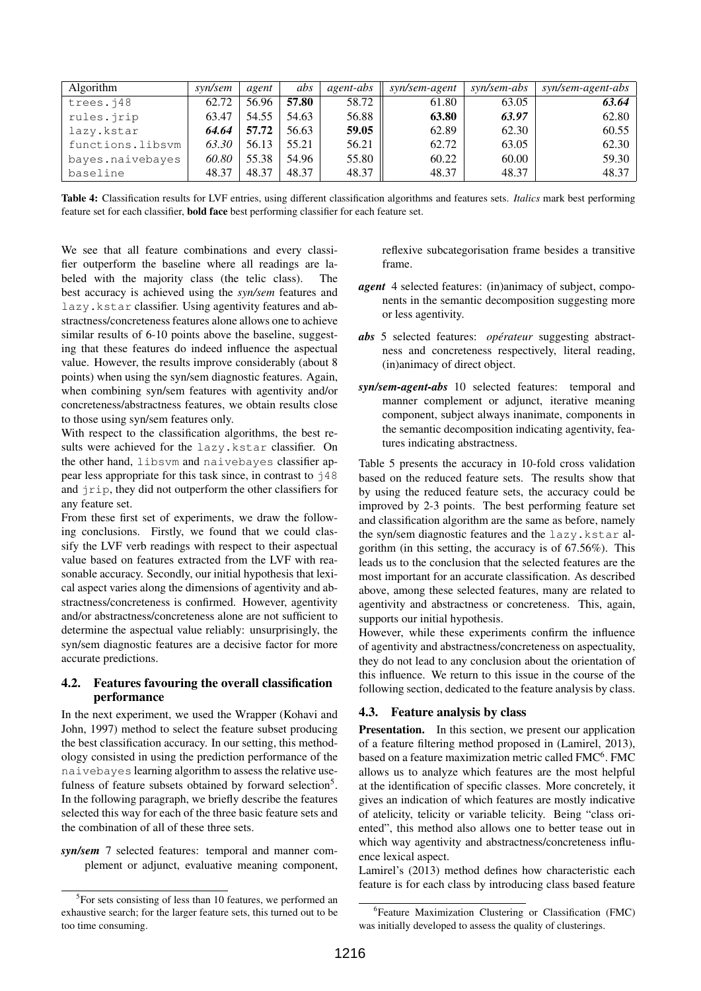| <b>Algorithm</b> | syn/sem | agent | abs   | agent-abs | syn/sem-agent | syn/sem-abs | syn/sem-agent-abs |
|------------------|---------|-------|-------|-----------|---------------|-------------|-------------------|
| trees.j48        | 62.72   | 56.96 | 57.80 | 58.72     | 61.80         | 63.05       | 63.64             |
| rules.jrip       | 63.47   | 54.55 | 54.63 | 56.88     | 63.80         | 63.97       | 62.80             |
| lazy.kstar       | 64.64   | 57.72 | 56.63 | 59.05     | 62.89         | 62.30       | 60.55             |
| functions.libsvm | 63.30   | 56.13 | 55.21 | 56.21     | 62.72         | 63.05       | 62.30             |
| bayes.naivebayes | 60.80   | 55.38 | 54.96 | 55.80     | 60.22         | 60.00       | 59.30             |
| baseline         | 48.37   | 48.37 | 48.37 | 48.37     | 48.37         | 48.37       | 48.37             |

Table 4: Classification results for LVF entries, using different classification algorithms and features sets. *Italics* mark best performing feature set for each classifier, bold face best performing classifier for each feature set.

We see that all feature combinations and every classifier outperform the baseline where all readings are labeled with the majority class (the telic class). The best accuracy is achieved using the *syn/sem* features and lazy.kstar classifier. Using agentivity features and abstractness/concreteness features alone allows one to achieve similar results of 6-10 points above the baseline, suggesting that these features do indeed influence the aspectual value. However, the results improve considerably (about 8 points) when using the syn/sem diagnostic features. Again, when combining syn/sem features with agentivity and/or concreteness/abstractness features, we obtain results close to those using syn/sem features only.

With respect to the classification algorithms, the best results were achieved for the lazy.kstar classifier. On the other hand, libsvm and naivebayes classifier appear less appropriate for this task since, in contrast to  $\dot{1}48$ and jrip, they did not outperform the other classifiers for any feature set.

From these first set of experiments, we draw the following conclusions. Firstly, we found that we could classify the LVF verb readings with respect to their aspectual value based on features extracted from the LVF with reasonable accuracy. Secondly, our initial hypothesis that lexical aspect varies along the dimensions of agentivity and abstractness/concreteness is confirmed. However, agentivity and/or abstractness/concreteness alone are not sufficient to determine the aspectual value reliably: unsurprisingly, the syn/sem diagnostic features are a decisive factor for more accurate predictions.

## 4.2. Features favouring the overall classification performance

In the next experiment, we used the Wrapper (Kohavi and John, 1997) method to select the feature subset producing the best classification accuracy. In our setting, this methodology consisted in using the prediction performance of the naivebayes learning algorithm to assess the relative usefulness of feature subsets obtained by forward selection<sup>5</sup>. In the following paragraph, we briefly describe the features selected this way for each of the three basic feature sets and the combination of all of these three sets.

*syn/sem* 7 selected features: temporal and manner complement or adjunct, evaluative meaning component, reflexive subcategorisation frame besides a transitive frame.

- *agent* 4 selected features: (in)animacy of subject, components in the semantic decomposition suggesting more or less agentivity.
- *abs* 5 selected features: *opérateur* suggesting abstractness and concreteness respectively, literal reading, (in)animacy of direct object.
- *syn/sem-agent-abs* 10 selected features: temporal and manner complement or adjunct, iterative meaning component, subject always inanimate, components in the semantic decomposition indicating agentivity, features indicating abstractness.

Table 5 presents the accuracy in 10-fold cross validation based on the reduced feature sets. The results show that by using the reduced feature sets, the accuracy could be improved by 2-3 points. The best performing feature set and classification algorithm are the same as before, namely the syn/sem diagnostic features and the lazy.kstar algorithm (in this setting, the accuracy is of 67.56%). This leads us to the conclusion that the selected features are the most important for an accurate classification. As described above, among these selected features, many are related to agentivity and abstractness or concreteness. This, again, supports our initial hypothesis.

However, while these experiments confirm the influence of agentivity and abstractness/concreteness on aspectuality, they do not lead to any conclusion about the orientation of this influence. We return to this issue in the course of the following section, dedicated to the feature analysis by class.

# 4.3. Feature analysis by class

**Presentation.** In this section, we present our application of a feature filtering method proposed in (Lamirel, 2013), based on a feature maximization metric called FMC<sup>6</sup>. FMC allows us to analyze which features are the most helpful at the identification of specific classes. More concretely, it gives an indication of which features are mostly indicative of atelicity, telicity or variable telicity. Being "class oriented", this method also allows one to better tease out in which way agentivity and abstractness/concreteness influence lexical aspect.

Lamirel's (2013) method defines how characteristic each feature is for each class by introducing class based feature

<sup>&</sup>lt;sup>5</sup>For sets consisting of less than 10 features, we performed an exhaustive search; for the larger feature sets, this turned out to be too time consuming.

<sup>6</sup> Feature Maximization Clustering or Classification (FMC) was initially developed to assess the quality of clusterings.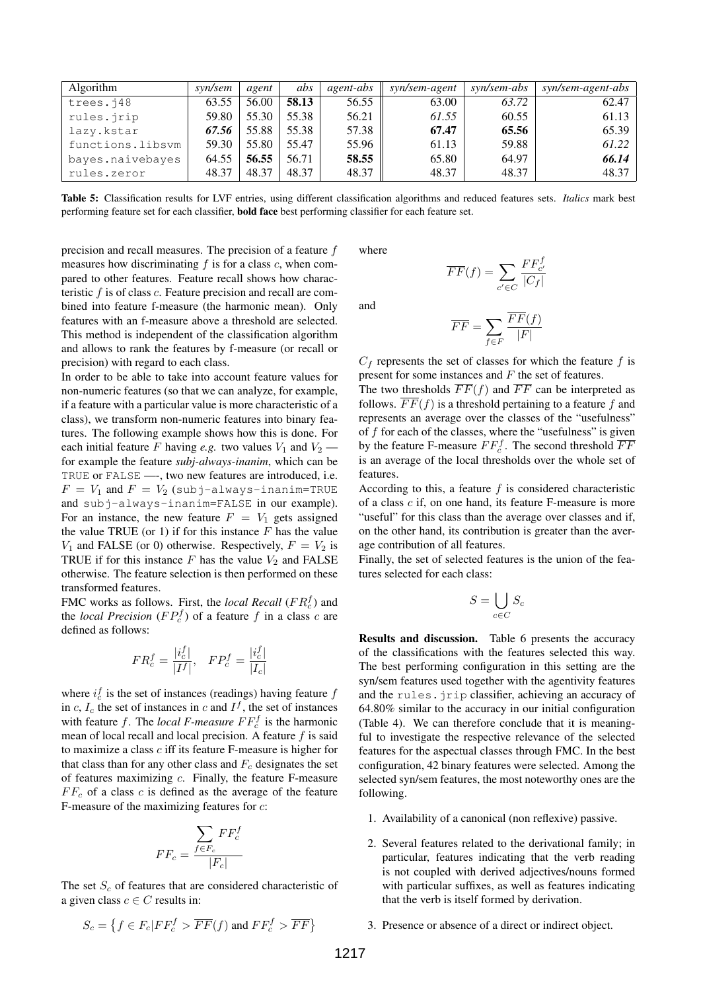| <b>Algorithm</b> | syn/sem | agent | abs   | agent-abs | syn/sem-agent | syn/sem-abs | syn/sem-agent-abs |
|------------------|---------|-------|-------|-----------|---------------|-------------|-------------------|
| trees.j48        | 63.55   | 56.00 | 58.13 | 56.55     | 63.00         | 63.72       | 62.47             |
| rules.jrip       | 59.80   | 55.30 | 55.38 | 56.21     | 61.55         | 60.55       | 61.13             |
| lazy.kstar       | 67.56   | 55.88 | 55.38 | 57.38     | 67.47         | 65.56       | 65.39             |
| functions.libsvm | 59.30   | 55.80 | 55.47 | 55.96     | 61.13         | 59.88       | 61.22             |
| bayes.naivebayes | 64.55   | 56.55 | 56.71 | 58.55     | 65.80         | 64.97       | 66.14             |
| rules.zeror      | 48.37   | 48.37 | 48.37 | 48.37     | 48.37         | 48.37       | 48.37             |

Table 5: Classification results for LVF entries, using different classification algorithms and reduced features sets. *Italics* mark best performing feature set for each classifier, bold face best performing classifier for each feature set.

precision and recall measures. The precision of a feature  $f$ measures how discriminating  $f$  is for a class  $c$ , when compared to other features. Feature recall shows how characteristic  $f$  is of class  $c$ . Feature precision and recall are combined into feature f-measure (the harmonic mean). Only features with an f-measure above a threshold are selected. This method is independent of the classification algorithm and allows to rank the features by f-measure (or recall or precision) with regard to each class.

In order to be able to take into account feature values for non-numeric features (so that we can analyze, for example, if a feature with a particular value is more characteristic of a class), we transform non-numeric features into binary features. The following example shows how this is done. For each initial feature F having *e.g.* two values  $V_1$  and  $V_2$  for example the feature *subj-always-inanim*, which can be TRUE or FALSE —-, two new features are introduced, i.e.  $F = V_1$  and  $F = V_2$  (subj-always-inanim=TRUE and subj-always-inanim=FALSE in our example). For an instance, the new feature  $F = V_1$  gets assigned the value TRUE (or 1) if for this instance  $F$  has the value  $V_1$  and FALSE (or 0) otherwise. Respectively,  $F = V_2$  is TRUE if for this instance  $F$  has the value  $V_2$  and FALSE otherwise. The feature selection is then performed on these transformed features.

FMC works as follows. First, the *local Recall* ( $FR_c^f$ ) and the *local Precision* ( $FP_c^f$ ) of a feature f in a class c are defined as follows:

$$
FR_c^f = \frac{|i_c^f|}{|I^f|}, \quad FP_c^f = \frac{|i_c^f|}{|I_c|}
$$

where  $i_c^f$  is the set of instances (readings) having feature  $f$ in c,  $I_c$  the set of instances in c and  $I<sup>f</sup>$ , the set of instances with feature f. The *local F-measure*  $FF_c^f$  is the harmonic mean of local recall and local precision. A feature  $f$  is said to maximize a class c iff its feature F-measure is higher for that class than for any other class and  $F_c$  designates the set of features maximizing c. Finally, the feature F-measure  $FF<sub>c</sub>$  of a class c is defined as the average of the feature F-measure of the maximizing features for c:

$$
FF_c = \frac{\sum_{f \in F_c} FF_c^f}{|F_c|}
$$

The set  $S_c$  of features that are considered characteristic of a given class  $c \in C$  results in:

$$
S_c = \left\{ f \in F_c | FF_c^f > \overline{FF}(f) \text{ and } FF_c^f > \overline{FF} \right\}
$$

where

and

$$
\overline{FF}(f) = \sum_{c' \in C} \frac{FF_{c'}^{f}}{|C_f|}
$$

$$
\overline{FF} = \sum_{f \in F} \frac{\overline{FF}(f)}{|F|}
$$

 $C_f$  represents the set of classes for which the feature f is present for some instances and F the set of features.

The two thresholds  $\overline{FF}(f)$  and  $\overline{FF}$  can be interpreted as follows.  $\overline{FF}(f)$  is a threshold pertaining to a feature f and represents an average over the classes of the "usefulness" of f for each of the classes, where the "usefulness" is given by the feature F-measure  $FF_c^f$ . The second threshold  $\overline{FF}$ is an average of the local thresholds over the whole set of features.

According to this, a feature  $f$  is considered characteristic of a class c if, on one hand, its feature F-measure is more "useful" for this class than the average over classes and if, on the other hand, its contribution is greater than the average contribution of all features.

Finally, the set of selected features is the union of the features selected for each class:

$$
S = \bigcup_{c \in C} S_c
$$

Results and discussion. Table 6 presents the accuracy of the classifications with the features selected this way. The best performing configuration in this setting are the syn/sem features used together with the agentivity features and the rules.jrip classifier, achieving an accuracy of 64.80% similar to the accuracy in our initial configuration (Table 4). We can therefore conclude that it is meaningful to investigate the respective relevance of the selected features for the aspectual classes through FMC. In the best configuration, 42 binary features were selected. Among the selected syn/sem features, the most noteworthy ones are the following.

- 1. Availability of a canonical (non reflexive) passive.
- 2. Several features related to the derivational family; in particular, features indicating that the verb reading is not coupled with derived adjectives/nouns formed with particular suffixes, as well as features indicating that the verb is itself formed by derivation.
- 3. Presence or absence of a direct or indirect object.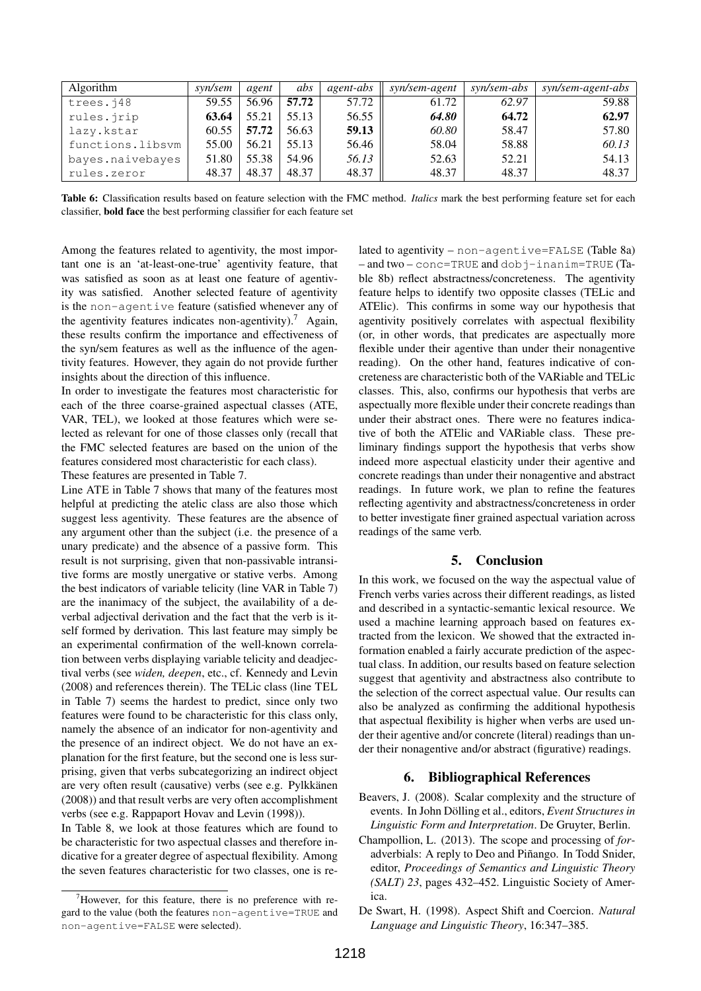| Algorithm        | syn/sem | agent | abs   | agent-abs | syn/sem-agent | syn/sem-abs | syn/sem-agent-abs |
|------------------|---------|-------|-------|-----------|---------------|-------------|-------------------|
| trees.j48        | 59.55   | 56.96 | 57.72 | 57.72     | 61.72         | 62.97       | 59.88             |
| rules.jrip       | 63.64   | 55.21 | 55.13 | 56.55     | 64.80         | 64.72       | 62.97             |
| lazy.kstar       | 60.55   | 57.72 | 56.63 | 59.13     | 60.80         | 58.47       | 57.80             |
| functions.libsvm | 55.00   | 56.21 | 55.13 | 56.46     | 58.04         | 58.88       | 60.13             |
| bayes.naivebayes | 51.80   | 55.38 | 54.96 | 56.13     | 52.63         | 52.21       | 54.13             |
| rules.zeror      | 48.37   | 48.37 | 48.37 | 48.37     | 48.37         | 48.37       | 48.37             |

Table 6: Classification results based on feature selection with the FMC method. *Italics* mark the best performing feature set for each classifier, bold face the best performing classifier for each feature set

Among the features related to agentivity, the most important one is an 'at-least-one-true' agentivity feature, that was satisfied as soon as at least one feature of agentivity was satisfied. Another selected feature of agentivity is the non-agentive feature (satisfied whenever any of the agentivity features indicates non-agentivity).<sup>7</sup> Again, these results confirm the importance and effectiveness of the syn/sem features as well as the influence of the agentivity features. However, they again do not provide further insights about the direction of this influence.

In order to investigate the features most characteristic for each of the three coarse-grained aspectual classes (ATE, VAR, TEL), we looked at those features which were selected as relevant for one of those classes only (recall that the FMC selected features are based on the union of the features considered most characteristic for each class).

These features are presented in Table 7.

Line ATE in Table 7 shows that many of the features most helpful at predicting the atelic class are also those which suggest less agentivity. These features are the absence of any argument other than the subject (i.e. the presence of a unary predicate) and the absence of a passive form. This result is not surprising, given that non-passivable intransitive forms are mostly unergative or stative verbs. Among the best indicators of variable telicity (line VAR in Table 7) are the inanimacy of the subject, the availability of a deverbal adjectival derivation and the fact that the verb is itself formed by derivation. This last feature may simply be an experimental confirmation of the well-known correlation between verbs displaying variable telicity and deadjectival verbs (see *widen, deepen*, etc., cf. Kennedy and Levin (2008) and references therein). The TELic class (line TEL in Table 7) seems the hardest to predict, since only two features were found to be characteristic for this class only, namely the absence of an indicator for non-agentivity and the presence of an indirect object. We do not have an explanation for the first feature, but the second one is less surprising, given that verbs subcategorizing an indirect object are very often result (causative) verbs (see e.g. Pylkkänen (2008)) and that result verbs are very often accomplishment verbs (see e.g. Rappaport Hovav and Levin (1998)).

In Table 8, we look at those features which are found to be characteristic for two aspectual classes and therefore indicative for a greater degree of aspectual flexibility. Among the seven features characteristic for two classes, one is related to agentivity – non-agentive=FALSE (Table 8a) – and two – conc=TRUE and dobj-inanim=TRUE (Table 8b) reflect abstractness/concreteness. The agentivity feature helps to identify two opposite classes (TELic and ATElic). This confirms in some way our hypothesis that agentivity positively correlates with aspectual flexibility (or, in other words, that predicates are aspectually more flexible under their agentive than under their nonagentive reading). On the other hand, features indicative of concreteness are characteristic both of the VARiable and TELic classes. This, also, confirms our hypothesis that verbs are aspectually more flexible under their concrete readings than under their abstract ones. There were no features indicative of both the ATElic and VARiable class. These preliminary findings support the hypothesis that verbs show indeed more aspectual elasticity under their agentive and concrete readings than under their nonagentive and abstract readings. In future work, we plan to refine the features reflecting agentivity and abstractness/concreteness in order to better investigate finer grained aspectual variation across readings of the same verb.

# 5. Conclusion

In this work, we focused on the way the aspectual value of French verbs varies across their different readings, as listed and described in a syntactic-semantic lexical resource. We used a machine learning approach based on features extracted from the lexicon. We showed that the extracted information enabled a fairly accurate prediction of the aspectual class. In addition, our results based on feature selection suggest that agentivity and abstractness also contribute to the selection of the correct aspectual value. Our results can also be analyzed as confirming the additional hypothesis that aspectual flexibility is higher when verbs are used under their agentive and/or concrete (literal) readings than under their nonagentive and/or abstract (figurative) readings.

# 6. Bibliographical References

- Beavers, J. (2008). Scalar complexity and the structure of events. In John Dölling et al., editors, *Event Structures in Linguistic Form and Interpretation*. De Gruyter, Berlin.
- Champollion, L. (2013). The scope and processing of *for*adverbials: A reply to Deo and Piñango. In Todd Snider, editor, *Proceedings of Semantics and Linguistic Theory (SALT) 23*, pages 432–452. Linguistic Society of America.

 $7$ However, for this feature, there is no preference with regard to the value (both the features non-agentive=TRUE and non-agentive=FALSE were selected).

De Swart, H. (1998). Aspect Shift and Coercion. *Natural Language and Linguistic Theory*, 16:347–385.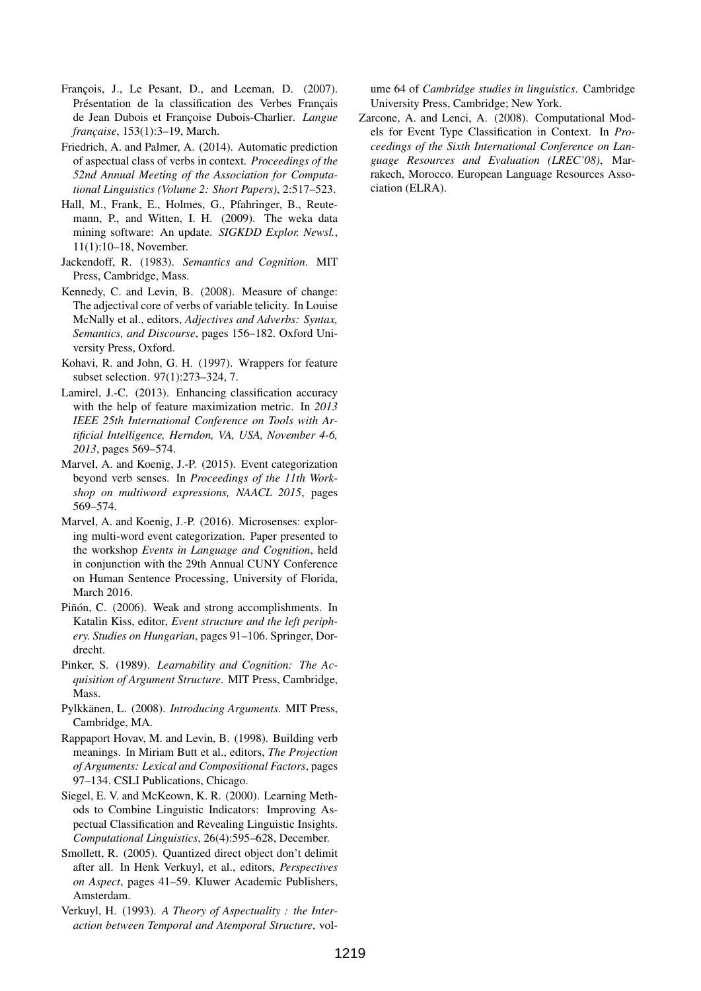- François, J., Le Pesant, D., and Leeman, D. (2007). Présentation de la classification des Verbes Français de Jean Dubois et Françoise Dubois-Charlier. *Langue française*, 153(1):3–19, March.
- Friedrich, A. and Palmer, A. (2014). Automatic prediction of aspectual class of verbs in context. *Proceedings of the 52nd Annual Meeting of the Association for Computational Linguistics (Volume 2: Short Papers)*, 2:517–523.
- Hall, M., Frank, E., Holmes, G., Pfahringer, B., Reutemann, P., and Witten, I. H. (2009). The weka data mining software: An update. *SIGKDD Explor. Newsl.*, 11(1):10–18, November.
- Jackendoff, R. (1983). *Semantics and Cognition*. MIT Press, Cambridge, Mass.
- Kennedy, C. and Levin, B. (2008). Measure of change: The adjectival core of verbs of variable telicity. In Louise McNally et al., editors, *Adjectives and Adverbs: Syntax, Semantics, and Discourse*, pages 156–182. Oxford University Press, Oxford.
- Kohavi, R. and John, G. H. (1997). Wrappers for feature subset selection. 97(1):273–324, 7.
- Lamirel, J.-C. (2013). Enhancing classification accuracy with the help of feature maximization metric. In *2013 IEEE 25th International Conference on Tools with Artificial Intelligence, Herndon, VA, USA, November 4-6, 2013*, pages 569–574.
- Marvel, A. and Koenig, J.-P. (2015). Event categorization beyond verb senses. In *Proceedings of the 11th Workshop on multiword expressions, NAACL 2015*, pages 569–574.
- Marvel, A. and Koenig, J.-P. (2016). Microsenses: exploring multi-word event categorization. Paper presented to the workshop *Events in Language and Cognition*, held in conjunction with the 29th Annual CUNY Conference on Human Sentence Processing, University of Florida, March 2016.
- Piñón, C. (2006). Weak and strong accomplishments. In Katalin Kiss, editor, *Event structure and the left periphery. Studies on Hungarian*, pages 91–106. Springer, Dordrecht.
- Pinker, S. (1989). *Learnability and Cognition: The Acquisition of Argument Structure*. MIT Press, Cambridge, Mass.
- Pylkkänen, L. (2008). *Introducing Arguments*. MIT Press, Cambridge, MA.
- Rappaport Hovav, M. and Levin, B. (1998). Building verb meanings. In Miriam Butt et al., editors, *The Projection of Arguments: Lexical and Compositional Factors*, pages 97–134. CSLI Publications, Chicago.
- Siegel, E. V. and McKeown, K. R. (2000). Learning Methods to Combine Linguistic Indicators: Improving Aspectual Classification and Revealing Linguistic Insights. *Computational Linguistics*, 26(4):595–628, December.
- Smollett, R. (2005). Quantized direct object don't delimit after all. In Henk Verkuyl, et al., editors, *Perspectives on Aspect*, pages 41–59. Kluwer Academic Publishers, Amsterdam.
- Verkuyl, H. (1993). *A Theory of Aspectuality : the Interaction between Temporal and Atemporal Structure*, vol-

ume 64 of *Cambridge studies in linguistics*. Cambridge University Press, Cambridge; New York.

Zarcone, A. and Lenci, A. (2008). Computational Models for Event Type Classification in Context. In *Proceedings of the Sixth International Conference on Language Resources and Evaluation (LREC'08)*, Marrakech, Morocco. European Language Resources Association (ELRA).